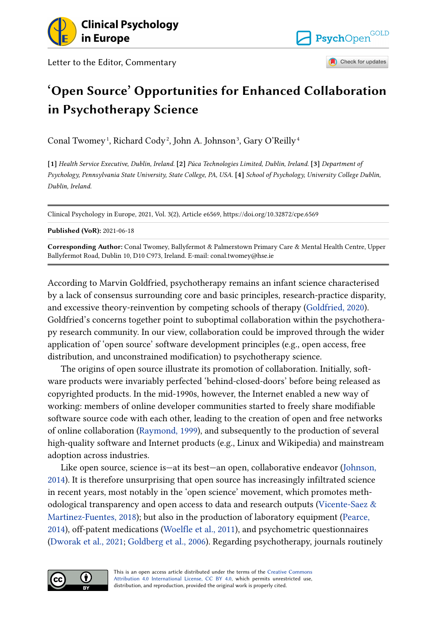

Letter to the Editor, Commentary



Check for updates

## **'Open Source' Opportunities for Enhanced Collaboration in Psychotherapy Science**

Conal Twomey<sup>1</sup>, Richard Cody<sup>2</sup>, John A. Johnson<sup>3</sup>, Gary O'Reilly<sup>4</sup>

**[1]** *Health Service Executive, Dublin, Ireland.* **[2]** *Púca Technologies Limited, Dublin, Ireland.* **[3]** *Department of Psychology, Pennsylvania State University, State College, PA, USA.* **[4]** *School of Psychology, University College Dublin, Dublin, Ireland.* 

Clinical Psychology in Europe, 2021, Vol. 3(2), Article e6569, https://doi.org/10.32872/cpe.6569

**Published (VoR):** 2021-06-18

**Corresponding Author:** Conal Twomey, Ballyfermot & Palmerstown Primary Care & Mental Health Centre, Upper Ballyfermot Road, Dublin 10, D10 C973, Ireland. E-mail: conal.twomey@hse.ie

According to Marvin Goldfried, psychotherapy remains an infant science characterised by a lack of consensus surrounding core and basic principles, research-practice disparity, and excessive theory-reinvention by competing schools of therapy [\(Goldfried, 2020](#page-2-0)). Goldfried's concerns together point to suboptimal collaboration within the psychotherapy research community. In our view, collaboration could be improved through the wider application of 'open source' software development principles (e.g., open access, free distribution, and unconstrained modification) to psychotherapy science.

The origins of open source illustrate its promotion of collaboration. Initially, software products were invariably perfected 'behind-closed-doors' before being released as copyrighted products. In the mid-1990s, however, the Internet enabled a new way of working: members of online developer communities started to freely share modifiable software source code with each other, leading to the creation of open and free networks of online collaboration [\(Raymond, 1999\)](#page-2-0), and subsequently to the production of several high-quality software and Internet products (e.g., Linux and Wikipedia) and mainstream adoption across industries.

Like open source, science is—at its best—an open, collaborative endeavor ([Johnson,](#page-2-0) [2014\)](#page-2-0). It is therefore unsurprising that open source has increasingly infiltrated science in recent years, most notably in the 'open science' movement, which promotes methodological transparency and open access to data and research outputs [\(Vicente-Saez &](#page-2-0) [Martinez-Fuentes, 2018\)](#page-2-0); but also in the production of laboratory equipment [\(Pearce,](#page-2-0)  [2014\)](#page-2-0), off-patent medications [\(Woelfle et al., 2011\)](#page-2-0), and psychometric questionnaires [\(Dworak et al., 2021](#page-1-0); [Goldberg et al., 2006](#page-1-0)). Regarding psychotherapy, journals routinely

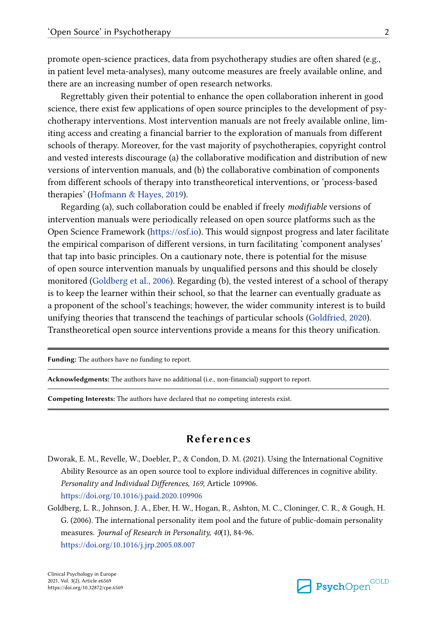<span id="page-1-0"></span>promote open-science practices, data from psychotherapy studies are often shared (e.g., in patient level meta-analyses), many outcome measures are freely available online, and there are an increasing number of open research networks.

Regrettably given their potential to enhance the open collaboration inherent in good science, there exist few applications of open source principles to the development of psychotherapy interventions. Most intervention manuals are not freely available online, limiting access and creating a financial barrier to the exploration of manuals from different schools of therapy. Moreover, for the vast majority of psychotherapies, copyright control and vested interests discourage (a) the collaborative modification and distribution of new versions of intervention manuals, and (b) the collaborative combination of components from different schools of therapy into transtheoretical interventions, or 'process-based therapies' ([Hofmann & Hayes, 2019](#page-2-0)).

Regarding (a), such collaboration could be enabled if freely *modifiable* versions of intervention manuals were periodically released on open source platforms such as the Open Science Framework (<https://osf.io>). This would signpost progress and later facilitate the empirical comparison of different versions, in turn facilitating 'component analyses' that tap into basic principles. On a cautionary note, there is potential for the misuse of open source intervention manuals by unqualified persons and this should be closely monitored (Goldberg et al., 2006). Regarding (b), the vested interest of a school of therapy is to keep the learner within their school, so that the learner can eventually graduate as a proponent of the school's teachings; however, the wider community interest is to build unifying theories that transcend the teachings of particular schools ([Goldfried, 2020\)](#page-2-0). Transtheoretical open source interventions provide a means for this theory unification.

**Funding:** The authors have no funding to report.

**Acknowledgments:** The authors have no additional (i.e., non-financial) support to report.

**Competing Interests:** The authors have declared that no competing interests exist.

## **References**

Dworak, E. M., Revelle, W., Doebler, P., & Condon, D. M. (2021). Using the International Cognitive Ability Resource as an open source tool to explore individual differences in cognitive ability. *Personality and Individual Differences, 169*, Article 109906. <https://doi.org/10.1016/j.paid.2020.109906>

Goldberg, L. R., Johnson, J. A., Eber, H. W., Hogan, R., Ashton, M. C., Cloninger, C. R., & Gough, H. G. (2006). The international personality item pool and the future of public-domain personality measures. *Journal of Research in Personality, 40*(1), 84-96. <https://doi.org/10.1016/j.jrp.2005.08.007>

Clinical Psychology in Europe 2021, Vol. 3(2), Article e6569 https://doi.org/10.32872/cpe.6569